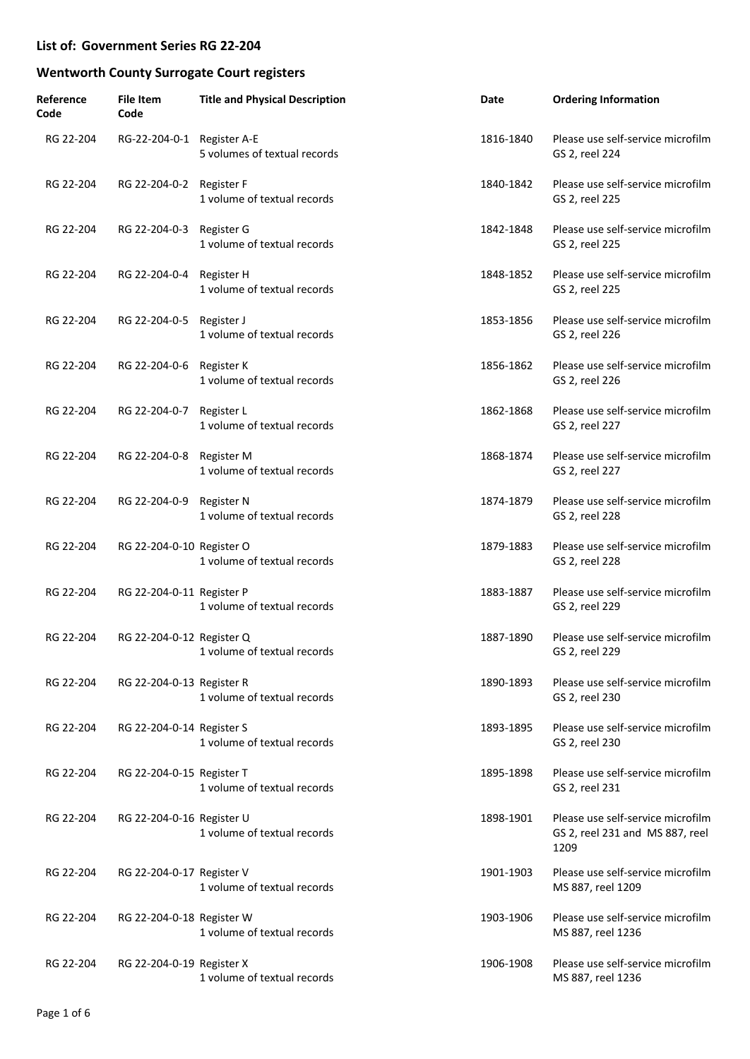| Reference<br>Code | <b>File Item</b><br>Code   | <b>Title and Physical Description</b>     | Date      | <b>Ordering Information</b>                                                  |
|-------------------|----------------------------|-------------------------------------------|-----------|------------------------------------------------------------------------------|
| RG 22-204         | RG-22-204-0-1 Register A-E | 5 volumes of textual records              | 1816-1840 | Please use self-service microfilm<br>GS 2, reel 224                          |
| RG 22-204         | RG 22-204-0-2              | Register F<br>1 volume of textual records | 1840-1842 | Please use self-service microfilm<br>GS 2, reel 225                          |
| RG 22-204         | RG 22-204-0-3              | Register G<br>1 volume of textual records | 1842-1848 | Please use self-service microfilm<br>GS 2, reel 225                          |
| RG 22-204         | RG 22-204-0-4              | Register H<br>1 volume of textual records | 1848-1852 | Please use self-service microfilm<br>GS 2, reel 225                          |
| RG 22-204         | RG 22-204-0-5              | Register J<br>1 volume of textual records | 1853-1856 | Please use self-service microfilm<br>GS 2, reel 226                          |
| RG 22-204         | RG 22-204-0-6              | Register K<br>1 volume of textual records | 1856-1862 | Please use self-service microfilm<br>GS 2, reel 226                          |
| RG 22-204         | RG 22-204-0-7              | Register L<br>1 volume of textual records | 1862-1868 | Please use self-service microfilm<br>GS 2, reel 227                          |
| RG 22-204         | RG 22-204-0-8              | Register M<br>1 volume of textual records | 1868-1874 | Please use self-service microfilm<br>GS 2, reel 227                          |
| RG 22-204         | RG 22-204-0-9              | Register N<br>1 volume of textual records | 1874-1879 | Please use self-service microfilm<br>GS 2, reel 228                          |
| RG 22-204         | RG 22-204-0-10 Register O  | 1 volume of textual records               | 1879-1883 | Please use self-service microfilm<br>GS 2, reel 228                          |
| RG 22-204         | RG 22-204-0-11 Register P  | 1 volume of textual records               | 1883-1887 | Please use self-service microfilm<br>GS 2, reel 229                          |
| RG 22-204         | RG 22-204-0-12 Register Q  | 1 volume of textual records               | 1887-1890 | Please use self-service microfilm<br>GS 2, reel 229                          |
| RG 22-204         | RG 22-204-0-13 Register R  | 1 volume of textual records               | 1890-1893 | Please use self-service microfilm<br>GS 2, reel 230                          |
| RG 22-204         | RG 22-204-0-14 Register S  | 1 volume of textual records               | 1893-1895 | Please use self-service microfilm<br>GS 2, reel 230                          |
| RG 22-204         | RG 22-204-0-15 Register T  | 1 volume of textual records               | 1895-1898 | Please use self-service microfilm<br>GS 2, reel 231                          |
| RG 22-204         | RG 22-204-0-16 Register U  | 1 volume of textual records               | 1898-1901 | Please use self-service microfilm<br>GS 2, reel 231 and MS 887, reel<br>1209 |
| RG 22-204         | RG 22-204-0-17 Register V  | 1 volume of textual records               | 1901-1903 | Please use self-service microfilm<br>MS 887, reel 1209                       |
| RG 22-204         | RG 22-204-0-18 Register W  | 1 volume of textual records               | 1903-1906 | Please use self-service microfilm<br>MS 887, reel 1236                       |
| RG 22-204         | RG 22-204-0-19 Register X  | 1 volume of textual records               | 1906-1908 | Please use self-service microfilm<br>MS 887, reel 1236                       |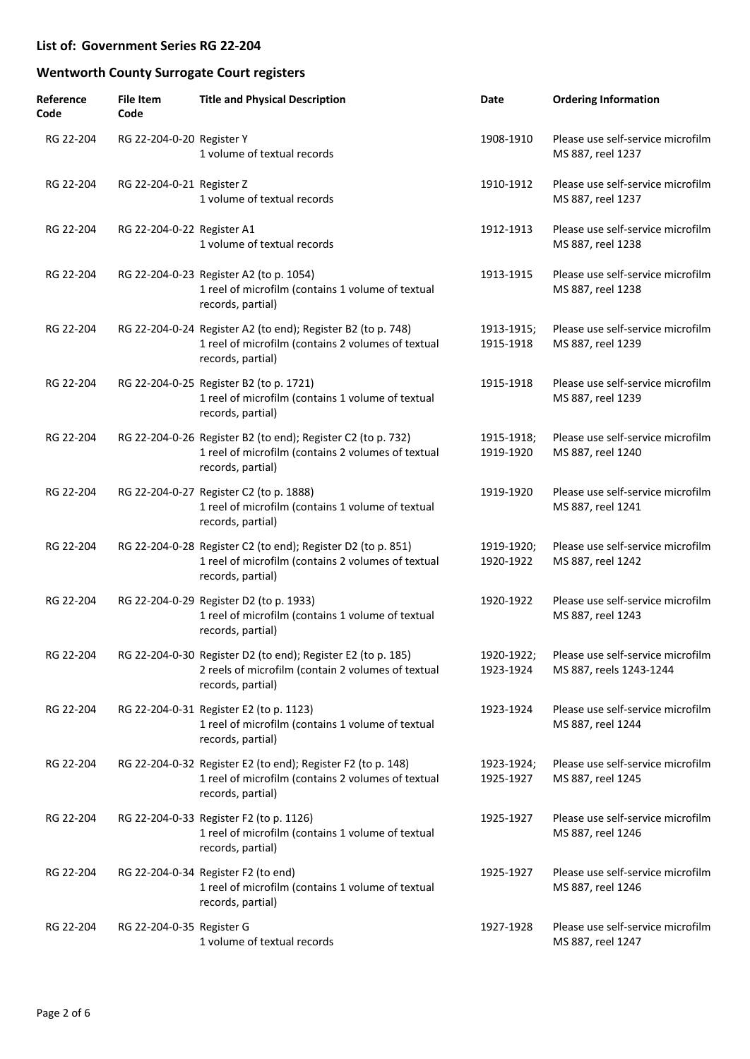| Reference<br>Code | <b>File Item</b><br>Code   | <b>Title and Physical Description</b>                                                                                                   | Date                    | <b>Ordering Information</b>                                  |
|-------------------|----------------------------|-----------------------------------------------------------------------------------------------------------------------------------------|-------------------------|--------------------------------------------------------------|
| RG 22-204         | RG 22-204-0-20 Register Y  | 1 volume of textual records                                                                                                             | 1908-1910               | Please use self-service microfilm<br>MS 887, reel 1237       |
| RG 22-204         | RG 22-204-0-21 Register Z  | 1 volume of textual records                                                                                                             | 1910-1912               | Please use self-service microfilm<br>MS 887, reel 1237       |
| RG 22-204         | RG 22-204-0-22 Register A1 | 1 volume of textual records                                                                                                             | 1912-1913               | Please use self-service microfilm<br>MS 887, reel 1238       |
| RG 22-204         |                            | RG 22-204-0-23 Register A2 (to p. 1054)<br>1 reel of microfilm (contains 1 volume of textual<br>records, partial)                       | 1913-1915               | Please use self-service microfilm<br>MS 887, reel 1238       |
| RG 22-204         |                            | RG 22-204-0-24 Register A2 (to end); Register B2 (to p. 748)<br>1 reel of microfilm (contains 2 volumes of textual<br>records, partial) | 1913-1915;<br>1915-1918 | Please use self-service microfilm<br>MS 887, reel 1239       |
| RG 22-204         |                            | RG 22-204-0-25 Register B2 (to p. 1721)<br>1 reel of microfilm (contains 1 volume of textual<br>records, partial)                       | 1915-1918               | Please use self-service microfilm<br>MS 887, reel 1239       |
| RG 22-204         |                            | RG 22-204-0-26 Register B2 (to end); Register C2 (to p. 732)<br>1 reel of microfilm (contains 2 volumes of textual<br>records, partial) | 1915-1918;<br>1919-1920 | Please use self-service microfilm<br>MS 887, reel 1240       |
| RG 22-204         |                            | RG 22-204-0-27 Register C2 (to p. 1888)<br>1 reel of microfilm (contains 1 volume of textual<br>records, partial)                       | 1919-1920               | Please use self-service microfilm<br>MS 887, reel 1241       |
| RG 22-204         |                            | RG 22-204-0-28 Register C2 (to end); Register D2 (to p. 851)<br>1 reel of microfilm (contains 2 volumes of textual<br>records, partial) | 1919-1920;<br>1920-1922 | Please use self-service microfilm<br>MS 887, reel 1242       |
| RG 22-204         |                            | RG 22-204-0-29 Register D2 (to p. 1933)<br>1 reel of microfilm (contains 1 volume of textual<br>records, partial)                       | 1920-1922               | Please use self-service microfilm<br>MS 887, reel 1243       |
| RG 22-204         |                            | RG 22-204-0-30 Register D2 (to end); Register E2 (to p. 185)<br>2 reels of microfilm (contain 2 volumes of textual<br>records, partial) | 1920-1922;<br>1923-1924 | Please use self-service microfilm<br>MS 887, reels 1243-1244 |
| RG 22-204         |                            | RG 22-204-0-31 Register E2 (to p. 1123)<br>1 reel of microfilm (contains 1 volume of textual<br>records, partial)                       | 1923-1924               | Please use self-service microfilm<br>MS 887, reel 1244       |
| RG 22-204         |                            | RG 22-204-0-32 Register E2 (to end); Register F2 (to p. 148)<br>1 reel of microfilm (contains 2 volumes of textual<br>records, partial) | 1923-1924;<br>1925-1927 | Please use self-service microfilm<br>MS 887, reel 1245       |
| RG 22-204         |                            | RG 22-204-0-33 Register F2 (to p. 1126)<br>1 reel of microfilm (contains 1 volume of textual<br>records, partial)                       | 1925-1927               | Please use self-service microfilm<br>MS 887, reel 1246       |
| RG 22-204         |                            | RG 22-204-0-34 Register F2 (to end)<br>1 reel of microfilm (contains 1 volume of textual<br>records, partial)                           | 1925-1927               | Please use self-service microfilm<br>MS 887, reel 1246       |
| RG 22-204         | RG 22-204-0-35 Register G  | 1 volume of textual records                                                                                                             | 1927-1928               | Please use self-service microfilm<br>MS 887, reel 1247       |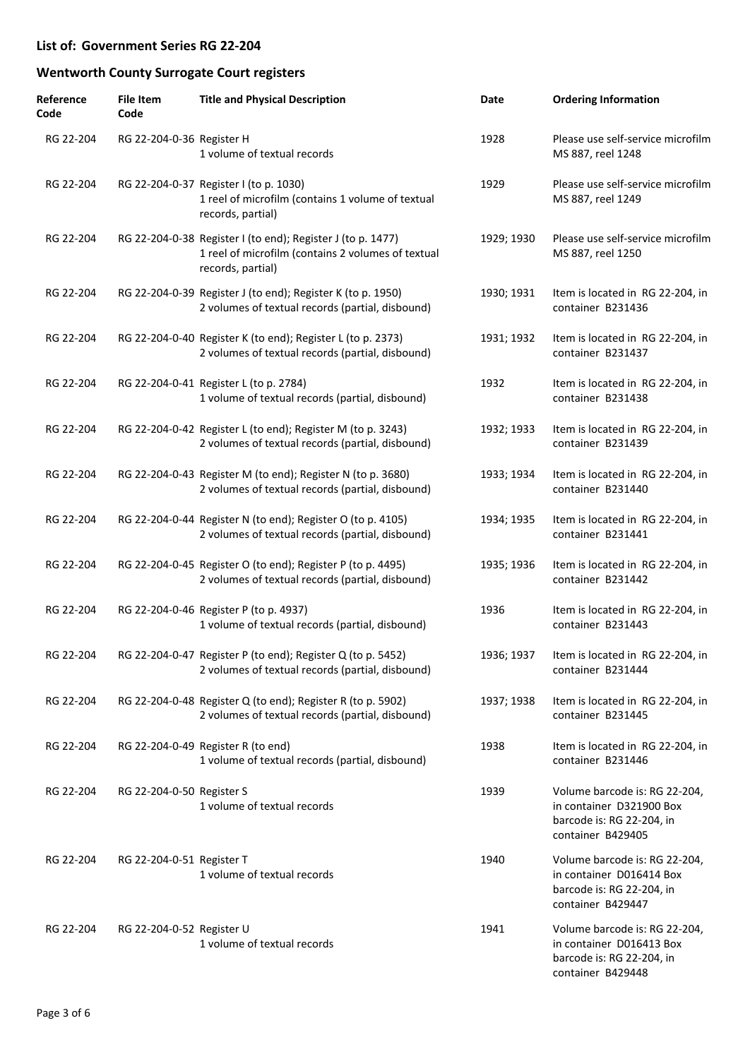| Reference<br>Code | <b>File Item</b><br>Code  | <b>Title and Physical Description</b>                                                                                                  | Date       | <b>Ordering Information</b>                                                                                 |
|-------------------|---------------------------|----------------------------------------------------------------------------------------------------------------------------------------|------------|-------------------------------------------------------------------------------------------------------------|
| RG 22-204         | RG 22-204-0-36 Register H | 1 volume of textual records                                                                                                            | 1928       | Please use self-service microfilm<br>MS 887, reel 1248                                                      |
| RG 22-204         |                           | RG 22-204-0-37 Register I (to p. 1030)<br>1 reel of microfilm (contains 1 volume of textual<br>records, partial)                       | 1929       | Please use self-service microfilm<br>MS 887, reel 1249                                                      |
| RG 22-204         |                           | RG 22-204-0-38 Register I (to end); Register J (to p. 1477)<br>1 reel of microfilm (contains 2 volumes of textual<br>records, partial) | 1929; 1930 | Please use self-service microfilm<br>MS 887, reel 1250                                                      |
| RG 22-204         |                           | RG 22-204-0-39 Register J (to end); Register K (to p. 1950)<br>2 volumes of textual records (partial, disbound)                        | 1930; 1931 | Item is located in RG 22-204, in<br>container B231436                                                       |
| RG 22-204         |                           | RG 22-204-0-40 Register K (to end); Register L (to p. 2373)<br>2 volumes of textual records (partial, disbound)                        | 1931; 1932 | Item is located in RG 22-204, in<br>container B231437                                                       |
| RG 22-204         |                           | RG 22-204-0-41 Register L (to p. 2784)<br>1 volume of textual records (partial, disbound)                                              | 1932       | Item is located in RG 22-204, in<br>container B231438                                                       |
| RG 22-204         |                           | RG 22-204-0-42 Register L (to end); Register M (to p. 3243)<br>2 volumes of textual records (partial, disbound)                        | 1932; 1933 | Item is located in RG 22-204, in<br>container B231439                                                       |
| RG 22-204         |                           | RG 22-204-0-43 Register M (to end); Register N (to p. 3680)<br>2 volumes of textual records (partial, disbound)                        | 1933; 1934 | Item is located in RG 22-204, in<br>container B231440                                                       |
| RG 22-204         |                           | RG 22-204-0-44 Register N (to end); Register O (to p. 4105)<br>2 volumes of textual records (partial, disbound)                        | 1934; 1935 | Item is located in RG 22-204, in<br>container B231441                                                       |
| RG 22-204         |                           | RG 22-204-0-45 Register O (to end); Register P (to p. 4495)<br>2 volumes of textual records (partial, disbound)                        | 1935; 1936 | Item is located in RG 22-204, in<br>container B231442                                                       |
| RG 22-204         |                           | RG 22-204-0-46 Register P (to p. 4937)<br>1 volume of textual records (partial, disbound)                                              | 1936       | Item is located in RG 22-204, in<br>container B231443                                                       |
| RG 22-204         |                           | RG 22-204-0-47 Register P (to end); Register Q (to p. 5452)<br>2 volumes of textual records (partial, disbound)                        | 1936; 1937 | Item is located in RG 22-204, in<br>container B231444                                                       |
| RG 22-204         |                           | RG 22-204-0-48 Register Q (to end); Register R (to p. 5902)<br>2 volumes of textual records (partial, disbound)                        | 1937; 1938 | Item is located in RG 22-204, in<br>container B231445                                                       |
| RG 22-204         |                           | RG 22-204-0-49 Register R (to end)<br>1 volume of textual records (partial, disbound)                                                  | 1938       | Item is located in RG 22-204, in<br>container B231446                                                       |
| RG 22-204         | RG 22-204-0-50 Register S | 1 volume of textual records                                                                                                            | 1939       | Volume barcode is: RG 22-204,<br>in container D321900 Box<br>barcode is: RG 22-204, in<br>container B429405 |
| RG 22-204         | RG 22-204-0-51 Register T | 1 volume of textual records                                                                                                            | 1940       | Volume barcode is: RG 22-204,<br>in container D016414 Box<br>barcode is: RG 22-204, in<br>container B429447 |
| RG 22-204         | RG 22-204-0-52 Register U | 1 volume of textual records                                                                                                            | 1941       | Volume barcode is: RG 22-204,<br>in container D016413 Box<br>barcode is: RG 22-204, in<br>container B429448 |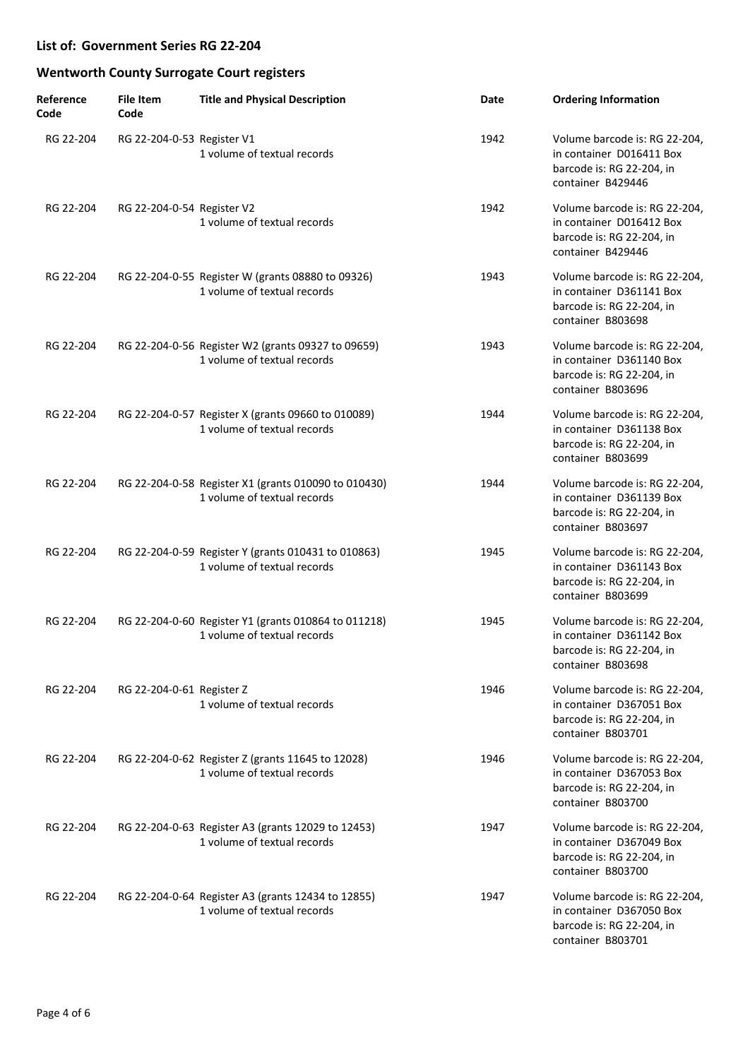| Reference<br>Code | <b>File Item</b><br>Code   | <b>Title and Physical Description</b>                                               | Date | <b>Ordering Information</b>                                                                                 |
|-------------------|----------------------------|-------------------------------------------------------------------------------------|------|-------------------------------------------------------------------------------------------------------------|
| RG 22-204         | RG 22-204-0-53 Register V1 | 1 volume of textual records                                                         | 1942 | Volume barcode is: RG 22-204,<br>in container D016411 Box<br>barcode is: RG 22-204, in<br>container B429446 |
| RG 22-204         | RG 22-204-0-54 Register V2 | 1 volume of textual records                                                         | 1942 | Volume barcode is: RG 22-204,<br>in container D016412 Box<br>barcode is: RG 22-204, in<br>container B429446 |
| RG 22-204         |                            | RG 22-204-0-55 Register W (grants 08880 to 09326)<br>1 volume of textual records    | 1943 | Volume barcode is: RG 22-204,<br>in container D361141 Box<br>barcode is: RG 22-204, in<br>container B803698 |
| RG 22-204         |                            | RG 22-204-0-56 Register W2 (grants 09327 to 09659)<br>1 volume of textual records   | 1943 | Volume barcode is: RG 22-204,<br>in container D361140 Box<br>barcode is: RG 22-204, in<br>container B803696 |
| RG 22-204         |                            | RG 22-204-0-57 Register X (grants 09660 to 010089)<br>1 volume of textual records   | 1944 | Volume barcode is: RG 22-204,<br>in container D361138 Box<br>barcode is: RG 22-204, in<br>container B803699 |
| RG 22-204         |                            | RG 22-204-0-58 Register X1 (grants 010090 to 010430)<br>1 volume of textual records | 1944 | Volume barcode is: RG 22-204,<br>in container D361139 Box<br>barcode is: RG 22-204, in<br>container B803697 |
| RG 22-204         |                            | RG 22-204-0-59 Register Y (grants 010431 to 010863)<br>1 volume of textual records  | 1945 | Volume barcode is: RG 22-204,<br>in container D361143 Box<br>barcode is: RG 22-204, in<br>container B803699 |
| RG 22-204         |                            | RG 22-204-0-60 Register Y1 (grants 010864 to 011218)<br>1 volume of textual records | 1945 | Volume barcode is: RG 22-204,<br>in container D361142 Box<br>barcode is: RG 22-204, in<br>container B803698 |
| RG 22-204         | RG 22-204-0-61 Register Z  | 1 volume of textual records                                                         | 1946 | Volume barcode is: RG 22-204,<br>in container D367051 Box<br>barcode is: RG 22-204, in<br>container B803701 |
| RG 22-204         |                            | RG 22-204-0-62 Register Z (grants 11645 to 12028)<br>1 volume of textual records    | 1946 | Volume barcode is: RG 22-204,<br>in container D367053 Box<br>barcode is: RG 22-204, in<br>container B803700 |
| RG 22-204         |                            | RG 22-204-0-63 Register A3 (grants 12029 to 12453)<br>1 volume of textual records   | 1947 | Volume barcode is: RG 22-204,<br>in container D367049 Box<br>barcode is: RG 22-204, in<br>container B803700 |
| RG 22-204         |                            | RG 22-204-0-64 Register A3 (grants 12434 to 12855)<br>1 volume of textual records   | 1947 | Volume barcode is: RG 22-204,<br>in container D367050 Box<br>barcode is: RG 22-204, in<br>container B803701 |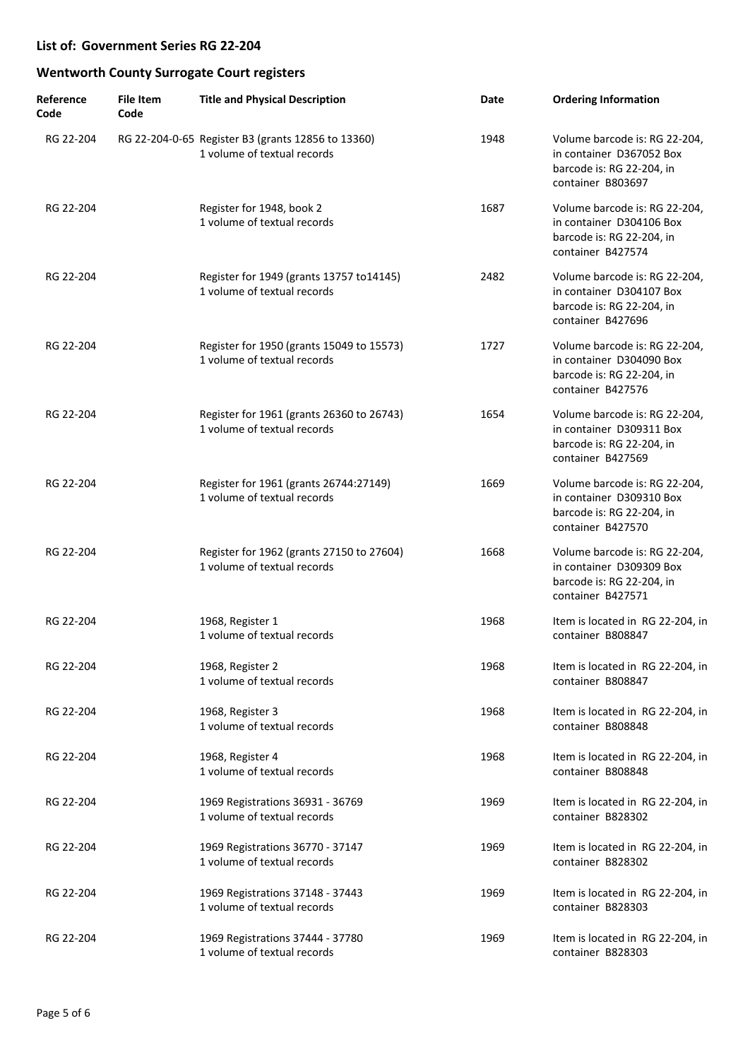| Reference<br>Code | <b>File Item</b><br>Code | <b>Title and Physical Description</b>                                             | Date | <b>Ordering Information</b>                                                                                 |
|-------------------|--------------------------|-----------------------------------------------------------------------------------|------|-------------------------------------------------------------------------------------------------------------|
| RG 22-204         |                          | RG 22-204-0-65 Register B3 (grants 12856 to 13360)<br>1 volume of textual records | 1948 | Volume barcode is: RG 22-204,<br>in container D367052 Box<br>barcode is: RG 22-204, in<br>container B803697 |
| RG 22-204         |                          | Register for 1948, book 2<br>1 volume of textual records                          | 1687 | Volume barcode is: RG 22-204,<br>in container D304106 Box<br>barcode is: RG 22-204, in<br>container B427574 |
| RG 22-204         |                          | Register for 1949 (grants 13757 to 14145)<br>1 volume of textual records          | 2482 | Volume barcode is: RG 22-204,<br>in container D304107 Box<br>barcode is: RG 22-204, in<br>container B427696 |
| RG 22-204         |                          | Register for 1950 (grants 15049 to 15573)<br>1 volume of textual records          | 1727 | Volume barcode is: RG 22-204,<br>in container D304090 Box<br>barcode is: RG 22-204, in<br>container B427576 |
| RG 22-204         |                          | Register for 1961 (grants 26360 to 26743)<br>1 volume of textual records          | 1654 | Volume barcode is: RG 22-204,<br>in container D309311 Box<br>barcode is: RG 22-204, in<br>container B427569 |
| RG 22-204         |                          | Register for 1961 (grants 26744:27149)<br>1 volume of textual records             | 1669 | Volume barcode is: RG 22-204,<br>in container D309310 Box<br>barcode is: RG 22-204, in<br>container B427570 |
| RG 22-204         |                          | Register for 1962 (grants 27150 to 27604)<br>1 volume of textual records          | 1668 | Volume barcode is: RG 22-204,<br>in container D309309 Box<br>barcode is: RG 22-204, in<br>container B427571 |
| RG 22-204         |                          | 1968, Register 1<br>1 volume of textual records                                   | 1968 | Item is located in RG 22-204, in<br>container B808847                                                       |
| RG 22-204         |                          | 1968, Register 2<br>1 volume of textual records                                   | 1968 | Item is located in RG 22-204, in<br>container B808847                                                       |
| RG 22-204         |                          | 1968, Register 3<br>1 volume of textual records                                   | 1968 | Item is located in RG 22-204, in<br>container B808848                                                       |
| RG 22-204         |                          | 1968, Register 4<br>1 volume of textual records                                   | 1968 | Item is located in RG 22-204, in<br>container B808848                                                       |
| RG 22-204         |                          | 1969 Registrations 36931 - 36769<br>1 volume of textual records                   | 1969 | Item is located in RG 22-204, in<br>container B828302                                                       |
| RG 22-204         |                          | 1969 Registrations 36770 - 37147<br>1 volume of textual records                   | 1969 | Item is located in RG 22-204, in<br>container B828302                                                       |
| RG 22-204         |                          | 1969 Registrations 37148 - 37443<br>1 volume of textual records                   | 1969 | Item is located in RG 22-204, in<br>container B828303                                                       |
| RG 22-204         |                          | 1969 Registrations 37444 - 37780<br>1 volume of textual records                   | 1969 | Item is located in RG 22-204, in<br>container B828303                                                       |